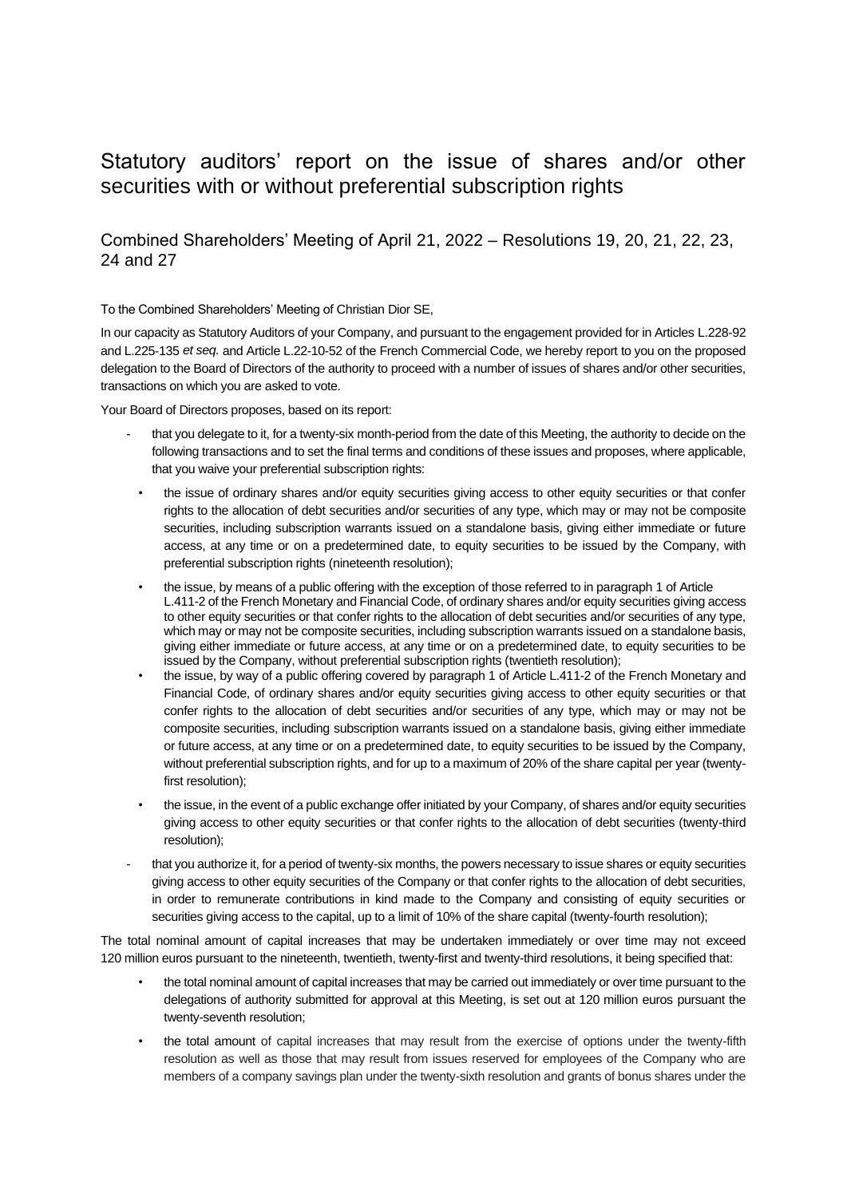## Statutory auditors' report on the issue of shares and/or other securities with or without preferential subscription rights

## Combined Shareholders' Meeting of April 21, 2022 – Resolutions 19, 20, 21, 22, 23, 24 and 27

To the Combined Shareholders' Meeting of Christian Dior SE,

In our capacity as Statutory Auditors of your Company, and pursuant to the engagement provided for in Articles L.228-92 and L.225‑135 *et seq.* and Article L.22-10-52 of the French Commercial Code, we hereby report to you on the proposed delegation to the Board of Directors of the authority to proceed with a number of issues of shares and/or other securities, transactions on which you are asked to vote.

Your Board of Directors proposes, based on its report:

- that you delegate to it, for a twenty-six month-period from the date of this Meeting, the authority to decide on the following transactions and to set the final terms and conditions of these issues and proposes, where applicable, that you waive your preferential subscription rights:
- the issue of ordinary shares and/or equity securities giving access to other equity securities or that confer rights to the allocation of debt securities and/or securities of any type, which may or may not be composite securities, including subscription warrants issued on a standalone basis, giving either immediate or future access, at any time or on a predetermined date, to equity securities to be issued by the Company, with preferential subscription rights (nineteenth resolution);
- the issue, by means of a public offering with the exception of those referred to in paragraph 1 of Article L.411-2 of the French Monetary and Financial Code, of ordinary shares and/or equity securities giving access to other equity securities or that confer rights to the allocation of debt securities and/or securities of any type, which may or may not be composite securities, including subscription warrants issued on a standalone basis, giving either immediate or future access, at any time or on a predetermined date, to equity securities to be issued by the Company, without preferential subscription rights (twentieth resolution);
- the issue, by way of a public offering covered by paragraph 1 of Article L.411-2 of the French Monetary and Financial Code, of ordinary shares and/or equity securities giving access to other equity securities or that confer rights to the allocation of debt securities and/or securities of any type, which may or may not be composite securities, including subscription warrants issued on a standalone basis, giving either immediate or future access, at any time or on a predetermined date, to equity securities to be issued by the Company, without preferential subscription rights, and for up to a maximum of 20% of the share capital per year (twentyfirst resolution);
- the issue, in the event of a public exchange offer initiated by your Company, of shares and/or equity securities giving access to other equity securities or that confer rights to the allocation of debt securities (twenty-third resolution);
- that you authorize it, for a period of twenty-six months, the powers necessary to issue shares or equity securities giving access to other equity securities of the Company or that confer rights to the allocation of debt securities, in order to remunerate contributions in kind made to the Company and consisting of equity securities or securities giving access to the capital, up to a limit of 10% of the share capital (twenty-fourth resolution);

The total nominal amount of capital increases that may be undertaken immediately or over time may not exceed 120 million euros pursuant to the nineteenth, twentieth, twenty-first and twenty-third resolutions, it being specified that:

- the total nominal amount of capital increases that may be carried out immediately or over time pursuant to the delegations of authority submitted for approval at this Meeting, is set out at 120 million euros pursuant the twenty-seventh resolution;
- the total amount of capital increases that may result from the exercise of options under the twenty-fifth resolution as well as those that may result from issues reserved for employees of the Company who are members of a company savings plan under the twenty-sixth resolution and grants of bonus shares under the